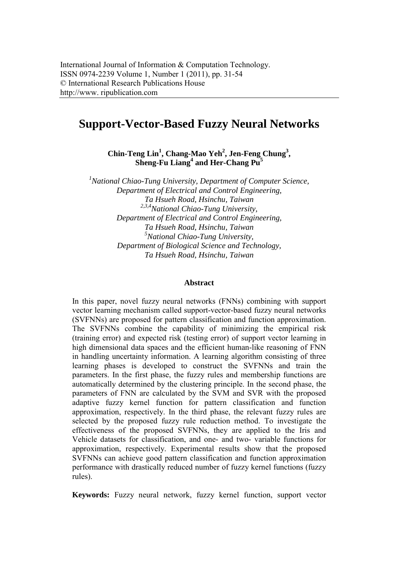# **Support-Vector-Based Fuzzy Neural Networks**

**Chin-Teng Lin<sup>1</sup> , Chang-Mao Yeh<sup>2</sup> , Jen-Feng Chung3 ,**  Sheng-Fu Liang<sup>4</sup> and Her-Chang Pu<sup>5</sup>

*1 National Chiao-Tung University, Department of Computer Science, Department of Electrical and Control Engineering, Ta Hsueh Road, Hsinchu, Taiwan 2,3,4National Chiao-Tung University, Department of Electrical and Control Engineering, Ta Hsueh Road, Hsinchu, Taiwan 5 National Chiao-Tung University, Department of Biological Science and Technology, Ta Hsueh Road, Hsinchu, Taiwan* 

#### **Abstract**

In this paper, novel fuzzy neural networks (FNNs) combining with support vector learning mechanism called support-vector-based fuzzy neural networks (SVFNNs) are proposed for pattern classification and function approximation. The SVFNNs combine the capability of minimizing the empirical risk (training error) and expected risk (testing error) of support vector learning in high dimensional data spaces and the efficient human-like reasoning of FNN in handling uncertainty information. A learning algorithm consisting of three learning phases is developed to construct the SVFNNs and train the parameters. In the first phase, the fuzzy rules and membership functions are automatically determined by the clustering principle. In the second phase, the parameters of FNN are calculated by the SVM and SVR with the proposed adaptive fuzzy kernel function for pattern classification and function approximation, respectively. In the third phase, the relevant fuzzy rules are selected by the proposed fuzzy rule reduction method. To investigate the effectiveness of the proposed SVFNNs, they are applied to the Iris and Vehicle datasets for classification, and one- and two- variable functions for approximation, respectively. Experimental results show that the proposed SVFNNs can achieve good pattern classification and function approximation performance with drastically reduced number of fuzzy kernel functions (fuzzy rules).

**Keywords:** Fuzzy neural network, fuzzy kernel function, support vector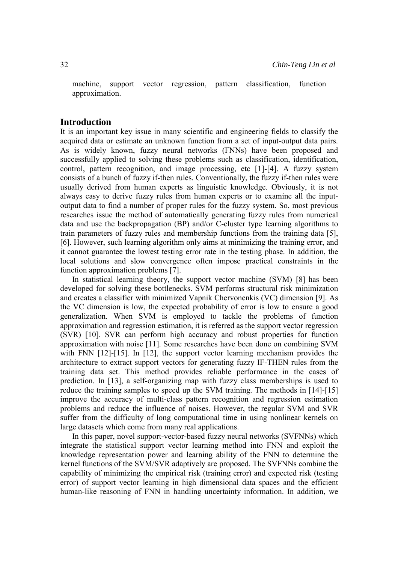machine, support vector regression, pattern classification, function approximation.

## **Introduction**

It is an important key issue in many scientific and engineering fields to classify the acquired data or estimate an unknown function from a set of input-output data pairs. As is widely known, fuzzy neural networks (FNNs) have been proposed and successfully applied to solving these problems such as classification, identification, control, pattern recognition, and image processing, etc [1]-[4]. A fuzzy system consists of a bunch of fuzzy if-then rules. Conventionally, the fuzzy if-then rules were usually derived from human experts as linguistic knowledge. Obviously, it is not always easy to derive fuzzy rules from human experts or to examine all the inputoutput data to find a number of proper rules for the fuzzy system. So, most previous researches issue the method of automatically generating fuzzy rules from numerical data and use the backpropagation (BP) and/or C-cluster type learning algorithms to train parameters of fuzzy rules and membership functions from the training data [5], [6]. However, such learning algorithm only aims at minimizing the training error, and it cannot guarantee the lowest testing error rate in the testing phase. In addition, the local solutions and slow convergence often impose practical constraints in the function approximation problems [7].

 In statistical learning theory, the support vector machine (SVM) [8] has been developed for solving these bottlenecks. SVM performs structural risk minimization and creates a classifier with minimized Vapnik Chervonenkis (VC) dimension [9]. As the VC dimension is low, the expected probability of error is low to ensure a good generalization. When SVM is employed to tackle the problems of function approximation and regression estimation, it is referred as the support vector regression (SVR) [10]. SVR can perform high accuracy and robust properties for function approximation with noise [11]. Some researches have been done on combining SVM with FNN [12]-[15]. In [12], the support vector learning mechanism provides the architecture to extract support vectors for generating fuzzy IF-THEN rules from the training data set. This method provides reliable performance in the cases of prediction. In [13], a self-organizing map with fuzzy class memberships is used to reduce the training samples to speed up the SVM training. The methods in [14]-[15] improve the accuracy of multi-class pattern recognition and regression estimation problems and reduce the influence of noises. However, the regular SVM and SVR suffer from the difficulty of long computational time in using nonlinear kernels on large datasets which come from many real applications.

 In this paper, novel support-vector-based fuzzy neural networks (SVFNNs) which integrate the statistical support vector learning method into FNN and exploit the knowledge representation power and learning ability of the FNN to determine the kernel functions of the SVM/SVR adaptively are proposed. The SVFNNs combine the capability of minimizing the empirical risk (training error) and expected risk (testing error) of support vector learning in high dimensional data spaces and the efficient human-like reasoning of FNN in handling uncertainty information. In addition, we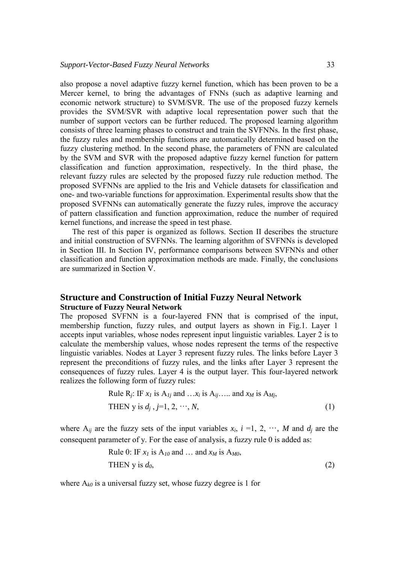also propose a novel adaptive fuzzy kernel function, which has been proven to be a Mercer kernel, to bring the advantages of FNNs (such as adaptive learning and economic network structure) to SVM/SVR. The use of the proposed fuzzy kernels provides the SVM/SVR with adaptive local representation power such that the number of support vectors can be further reduced. The proposed learning algorithm consists of three learning phases to construct and train the SVFNNs. In the first phase, the fuzzy rules and membership functions are automatically determined based on the fuzzy clustering method. In the second phase, the parameters of FNN are calculated by the SVM and SVR with the proposed adaptive fuzzy kernel function for pattern classification and function approximation, respectively. In the third phase, the relevant fuzzy rules are selected by the proposed fuzzy rule reduction method. The proposed SVFNNs are applied to the Iris and Vehicle datasets for classification and one- and two-variable functions for approximation. Experimental results show that the proposed SVFNNs can automatically generate the fuzzy rules, improve the accuracy of pattern classification and function approximation, reduce the number of required kernel functions, and increase the speed in test phase.

 The rest of this paper is organized as follows. Section II describes the structure and initial construction of SVFNNs. The learning algorithm of SVFNNs is developed in Section III. In Section IV, performance comparisons between SVFNNs and other classification and function approximation methods are made. Finally, the conclusions are summarized in Section V.

# **Structure and Construction of Initial Fuzzy Neural Network Structure of Fuzzy Neural Network**

The proposed SVFNN is a four-layered FNN that is comprised of the input, membership function, fuzzy rules, and output layers as shown in Fig.1. Layer 1 accepts input variables, whose nodes represent input linguistic variables. Layer 2 is to calculate the membership values, whose nodes represent the terms of the respective linguistic variables. Nodes at Layer 3 represent fuzzy rules. The links before Layer 3 represent the preconditions of fuzzy rules, and the links after Layer 3 represent the consequences of fuzzy rules. Layer 4 is the output layer. This four-layered network realizes the following form of fuzzy rules:

Rule R<sub>j</sub>: IF 
$$
x_1
$$
 is A<sub>1j</sub> and ... $x_i$  is A<sub>ij</sub>.... and  $x_M$  is A<sub>Mj</sub>,  
THEN y is  $d_j$ ,  $j=1, 2, \dots, N$ , (1)

where  $A_{ii}$  are the fuzzy sets of the input variables  $x_i$ ,  $i = 1, 2, \dots, M$  and  $d_i$  are the consequent parameter of y. For the ease of analysis, a fuzzy rule 0 is added as:

Rule 0: IF 
$$
x_1
$$
 is  $A_{10}$  and ... and  $x_M$  is  $A_{M0}$ ,  
THEN y is  $d_0$ , (2)

where  $A_{k0}$  is a universal fuzzy set, whose fuzzy degree is 1 for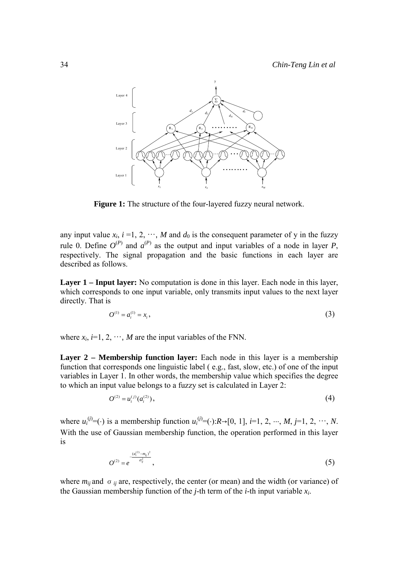

**Figure 1:** The structure of the four-layered fuzzy neural network.

any input value  $x_i$ ,  $i = 1, 2, \dots, M$  and  $d_0$  is the consequent parameter of y in the fuzzy rule 0. Define  $O^{(P)}$  and  $a^{(P)}$  as the output and input variables of a node in layer *P*, respectively. The signal propagation and the basic functions in each layer are described as follows.

**Layer 1 – Input layer:** No computation is done in this layer. Each node in this layer, which corresponds to one input variable, only transmits input values to the next layer directly. That is

$$
O^{(1)} = a_i^{(1)} = x_i, \tag{3}
$$

where  $x_i$ ,  $i=1, 2, \dots, M$  are the input variables of the FNN.

**Layer 2 – Membership function layer:** Each node in this layer is a membership function that corresponds one linguistic label ( e.g., fast, slow, etc.) of one of the input variables in Layer 1. In other words, the membership value which specifies the degree to which an input value belongs to a fuzzy set is calculated in Layer 2:

$$
O^{(2)} = u_i^{(j)}(a_i^{(2)}),\tag{4}
$$

where  $u_i^{(j)} = (\cdot)$  is a membership function  $u_i^{(j)} = (\cdot): R \rightarrow [0, 1]$ , *i*=1, 2, …, *M*, *j*=1, 2, …, *N*. With the use of Gaussian membership function, the operation performed in this layer is

$$
O^{(2)} = e^{-\frac{(a_i^{(2)} - m_{ij})^2}{\sigma_{ij}^2}}, \tag{5}
$$

where  $m_{ij}$  and  $\sigma_{ij}$  are, respectively, the center (or mean) and the width (or variance) of the Gaussian membership function of the *j*-th term of the *i*-th input variable *xi*.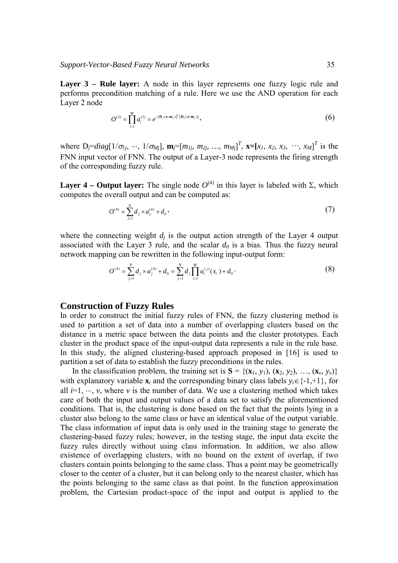**Layer 3 – Rule layer:** A node in this layer represents one fuzzy logic rule and performs precondition matching of a rule. Here we use the AND operation for each Layer 2 node

$$
O^{(3)} = \prod_{i=1}^{M} a_i^{(3)} = e^{-[\mathbf{D}_j(\mathbf{x} \cdot \mathbf{m}_j)]^T [\mathbf{D}_j(\mathbf{x} \cdot \mathbf{m}_j)]},
$$
(6)

where  $D_j = diag[1/\sigma_{1j}, \dots, 1/\sigma_{Mj}], \mathbf{m}_j = [m_{1j}, m_{2j}, \dots, m_{Mj}]^T$ ,  $\mathbf{x} = [x_1, x_2, x_3, \dots, x_M]^T$  is the FNN input vector of FNN. The output of a Layer-3 node represents the firing strength of the corresponding fuzzy rule.

**Layer 4 – Output layer:** The single node  $O^{(4)}$  in this layer is labeled with Σ, which computes the overall output and can be computed as:

$$
O^{(4)} = \sum_{j=1}^{N} d_j \times a_j^{(4)} + d_0,
$$
\n(7)

where the connecting weight  $d_i$  is the output action strength of the Layer 4 output associated with the Layer 3 rule, and the scalar  $d_0$  is a bias. Thus the fuzzy neural network mapping can be rewritten in the following input-output form:

$$
O^{(4)} = \sum_{j=1}^{N} d_j \times a_j^{(4)} + d_0 = \sum_{j=1}^{N} d_j \prod_{i=1}^{M} u_i^{(j)}(x_i) + d_0.
$$
 (8)

## **Construction of Fuzzy Rules**

In order to construct the initial fuzzy rules of FNN, the fuzzy clustering method is used to partition a set of data into a number of overlapping clusters based on the distance in a metric space between the data points and the cluster prototypes. Each cluster in the product space of the input-output data represents a rule in the rule base. In this study, the aligned clustering-based approach proposed in [16] is used to partition a set of data to establish the fuzzy preconditions in the rules.

In the classification problem, the training set is  $S = \{(\mathbf{x}_1, y_1), (\mathbf{x}_2, y_2), ..., (\mathbf{x}_v, y_v)\}$ with explanatory variable  $\mathbf{x}_i$  and the corresponding binary class labels  $y_i \in \{-1, +1\}$ , for all  $i=1, \dots, v$ , where *v* is the number of data. We use a clustering method which takes care of both the input and output values of a data set to satisfy the aforementioned conditions. That is, the clustering is done based on the fact that the points lying in a cluster also belong to the same class or have an identical value of the output variable. The class information of input data is only used in the training stage to generate the clustering-based fuzzy rules; however, in the testing stage, the input data excite the fuzzy rules directly without using class information. In addition, we also allow existence of overlapping clusters, with no bound on the extent of overlap, if two clusters contain points belonging to the same class. Thus a point may be geometrically closer to the center of a cluster, but it can belong only to the nearest cluster, which has the points belonging to the same class as that point. In the function approximation problem, the Cartesian product-space of the input and output is applied to the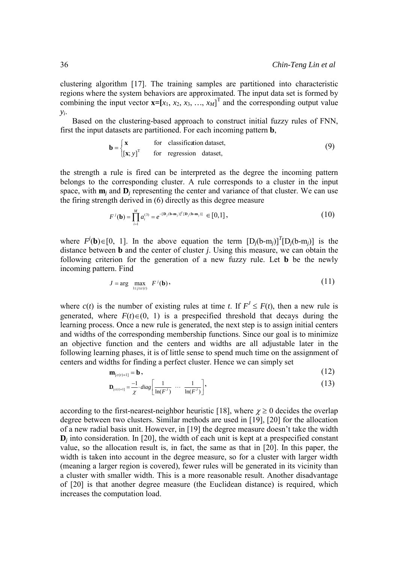clustering algorithm [17]. The training samples are partitioned into characteristic regions where the system behaviors are approximated. The input data set is formed by combining the input vector  $\mathbf{x} = [x_1, x_2, x_3, ..., x_M]^T$  and the corresponding output value *yi*.

 Based on the clustering-based approach to construct initial fuzzy rules of FNN, first the input datasets are partitioned. For each incoming pattern **b**,

$$
\mathbf{b} = \begin{cases} \mathbf{x} & \text{for classification dataset,} \\ [\mathbf{x}; y]^{T} & \text{for regression dataset,} \end{cases}
$$
 (9)

the strength a rule is fired can be interpreted as the degree the incoming pattern belongs to the corresponding cluster. A rule corresponds to a cluster in the input space, with  $\mathbf{m}_i$  and  $\mathbf{D}_i$  representing the center and variance of that cluster. We can use the firing strength derived in (6) directly as this degree measure

$$
F^{j}(\mathbf{b}) = \prod_{i=1}^{M} a_i^{(3)} = e^{-[\mathbf{D}_j(\mathbf{b}\cdot\mathbf{m}_j)]^T[\mathbf{D}_j(\mathbf{b}\cdot\mathbf{m}_j)]} \in [0,1],
$$
 (10)

where  $F^{j}$ (**b**)∈[0, 1]. In the above equation the term  $[D_j(b-m_j)]^{T}[D_j(b-m_j)]$  is the distance between **b** and the center of cluster *j*. Using this measure, we can obtain the following criterion for the generation of a new fuzzy rule. Let **b** be the newly incoming pattern. Find

$$
J = \arg \max_{1 \le j \le c(t)} F^j(\mathbf{b}),\tag{11}
$$

where  $c(t)$  is the number of existing rules at time *t*. If  $F' \leq F(t)$ , then a new rule is generated, where  $F(t) \in (0, 1)$  is a prespecified threshold that decays during the learning process. Once a new rule is generated, the next step is to assign initial centers and widths of the corresponding membership functions. Since our goal is to minimize an objective function and the centers and widths are all adjustable later in the following learning phases, it is of little sense to spend much time on the assignment of centers and widths for finding a perfect cluster. Hence we can simply set

$$
\mathbf{m}_{[c(t)+1]} = \mathbf{b},\tag{12}
$$
\n
$$
\mathbf{D}_{\text{max}} = \frac{-1}{2} \cdot diag\left[\begin{array}{ccc} 1 & \dots & 1 \end{array}\right],\tag{13}
$$

$$
\mathbf{D}_{[c(t)+1]} = \frac{-1}{\chi} \cdot diag\left[\frac{1}{\ln(F^{\prime})} \cdots \frac{1}{\ln(F^{\prime})}\right],\tag{13}
$$

according to the first-nearest-neighbor heuristic [18], where  $\chi \ge 0$  decides the overlap degree between two clusters. Similar methods are used in [19], [20] for the allocation of a new radial basis unit. However, in [19] the degree measure doesn't take the width  $\mathbf{D}_i$  into consideration. In [20], the width of each unit is kept at a prespecified constant value, so the allocation result is, in fact, the same as that in [20]. In this paper, the width is taken into account in the degree measure, so for a cluster with larger width (meaning a larger region is covered), fewer rules will be generated in its vicinity than a cluster with smaller width. This is a more reasonable result. Another disadvantage of [20] is that another degree measure (the Euclidean distance) is required, which increases the computation load.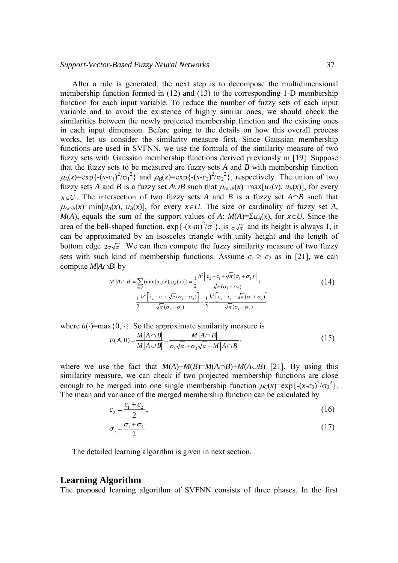After a rule is generated, the next step is to decompose the multidimensional membership function formed in (12) and (13) to the corresponding 1-D membership function for each input variable. To reduce the number of fuzzy sets of each input variable and to avoid the existence of highly similar ones, we should check the similarities between the newly projected membership function and the existing ones in each input dimension. Before going to the details on how this overall process works, let us consider the similarity measure first. Since Gaussian membership functions are used in SVFNN, we use the formula of the similarity measure of two fuzzy sets with Gaussian membership functions derived previously in [19]. Suppose that the fuzzy sets to be measured are fuzzy sets *A* and *B* with membership function  $\mu_A(x) = \exp\{- (x-c_1)^2/\sigma_1^2\}$  and  $\mu_B(x) = \exp\{- (x-c_2)^2/\sigma_2^2\}$ , respectively. The union of two fuzzy sets *A* and *B* is a fuzzy set  $A \cup B$  such that  $\mu_{A \cup B}(x) = \max[u_A(x), u_B(x)]$ , for every *x*∈*U*. The intersection of two fuzzy sets *A* and *B* is a fuzzy set *A*∩*B* such that  $\mu_{A \cap B}(x) = \min[u_A(x), u_B(x)]$ , for every  $x \in U$ . The size or cardinality of fuzzy set *A*, *M*(*A*), equals the sum of the support values of *A*: *M*(*A*)=Σ*u<sub>A</sub>*(*x*), for *x*∈*U*. Since the area of the bell-shaped function,  $\exp\{-(x-m)^2/\sigma^2\}$ , is  $\sigma\sqrt{\pi}$  and its height is always 1, it can be approximated by an isosceles triangle with unity height and the length of bottom edge  $2\sigma\sqrt{\pi}$ . We can then compute the fuzzy similarity measure of two fuzzy sets with such kind of membership functions. Assume  $c_1 \ge c_2$  as in [21], we can compute *M*|*A*∩*B*| by

$$
M |A \cap B| = \sum_{x \in U} (\min[u_A(x), u_B(x)]) = \frac{1}{2} \frac{h^2 \left[c_2 - c_1 + \sqrt{\pi}(\sigma_1 + \sigma_2)\right]}{\sqrt{\pi}(\sigma_1 + \sigma_2)} + \frac{1}{2} \frac{h^2 \left[c_2 - c_1 + \sqrt{\pi}(\sigma_1 - \sigma_2)\right]}{\sqrt{\pi}(\sigma_2 - \sigma_1)} + \frac{1}{2} \frac{h^2 \left[c_2 - c_1 - \sqrt{\pi}(\sigma_1 + \sigma_2)\right]}{\sqrt{\pi}(\sigma_1 - \sigma_2)}
$$
(14)

where  $h(\cdot)$ =max{0,  $\cdot$ }. So the approximate similarity measure is

$$
E(A,B) = \frac{M|A \cap B|}{M|A \cup B|} = \frac{M|A \cap B|}{\sigma_1 \sqrt{\pi} + \sigma_2 \sqrt{\pi} - M|A \cap B|},
$$
\n(15)

where we use the fact that  $M(A)+M(B)=M(A\cap B)+M(A\cup B)$  [21]. By using this similarity measure, we can check if two projected membership functions are close enough to be merged into one single membership function  $\mu_C(x) = \exp\{- (x - c_3)^2 / \sigma_3^2 \}$ . The mean and variance of the merged membership function can be calculated by

$$
c_3 = \frac{c_1 + c_2}{2},\tag{16}
$$

$$
\sigma_3 = \frac{\sigma_1 + \sigma_2}{2} \,. \tag{17}
$$

The detailed learning algorithm is given in next section.

#### **Learning Algorithm**

The proposed learning algorithm of SVFNN consists of three phases. In the first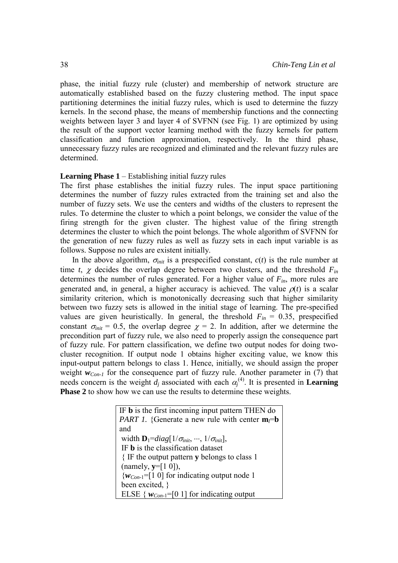phase, the initial fuzzy rule (cluster) and membership of network structure are automatically established based on the fuzzy clustering method. The input space partitioning determines the initial fuzzy rules, which is used to determine the fuzzy kernels. In the second phase, the means of membership functions and the connecting weights between layer 3 and layer 4 of SVFNN (see Fig. 1) are optimized by using the result of the support vector learning method with the fuzzy kernels for pattern classification and function approximation, respectively. In the third phase, unnecessary fuzzy rules are recognized and eliminated and the relevant fuzzy rules are determined.

#### **Learning Phase 1** – Establishing initial fuzzy rules

The first phase establishes the initial fuzzy rules. The input space partitioning determines the number of fuzzy rules extracted from the training set and also the number of fuzzy sets. We use the centers and widths of the clusters to represent the rules. To determine the cluster to which a point belongs, we consider the value of the firing strength for the given cluster. The highest value of the firing strength determines the cluster to which the point belongs. The whole algorithm of SVFNN for the generation of new fuzzy rules as well as fuzzy sets in each input variable is as follows. Suppose no rules are existent initially.

In the above algorithm,  $\sigma_{init}$  is a prespecified constant,  $c(t)$  is the rule number at time  $t$ ,  $\chi$  decides the overlap degree between two clusters, and the threshold  $F_{in}$ determines the number of rules generated. For a higher value of  $F_{in}$ , more rules are generated and, in general, a higher accuracy is achieved. The value  $\rho(t)$  is a scalar similarity criterion, which is monotonically decreasing such that higher similarity between two fuzzy sets is allowed in the initial stage of learning. The pre-specified values are given heuristically. In general, the threshold  $F_{in} = 0.35$ , prespecified constant  $\sigma_{init} = 0.5$ , the overlap degree  $\gamma = 2$ . In addition, after we determine the precondition part of fuzzy rule, we also need to properly assign the consequence part of fuzzy rule. For pattern classification, we define two output nodes for doing twocluster recognition. If output node 1 obtains higher exciting value, we know this input-output pattern belongs to class 1. Hence, initially, we should assign the proper weight  $w_{Con-1}$  for the consequence part of fuzzy rule. Another parameter in (7) that needs concern is the weight  $d_j$  associated with each  $\alpha_j^{(4)}$ . It is presented in **Learning Phase 2** to show how we can use the results to determine these weights.

> IF **b** is the first incoming input pattern THEN do *PART 1.* {Generate a new rule with center  $m_l = b$ and width  $\mathbf{D}_1 = diag[1/\sigma_{init}, \dots, 1/\sigma_{init}]$ , IF **b** is the classification dataset { IF the output pattern **y** belongs to class 1 (namely, **y**=[1 0]),  ${w_{Con-1}$ =[1 0] for indicating output node 1 been excited, } ELSE  $\{ w_{Con-1} = [0 1]$  for indicating output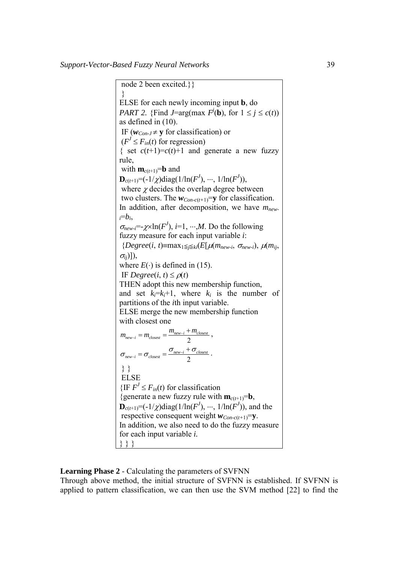node 2 been excited.}} } ELSE for each newly incoming input **b**, do *PART 2.* {Find *J*=arg(max  $F^j(\mathbf{b})$ , for  $1 \le j \le c(t)$ ) as defined in (10). IF ( $w_{Con-J} \neq y$  for classification) or  $(F' \leq F_{in}(t)$  for regression) { set  $c(t+1)=c(t)+1$  and generate a new fuzzy rule, with  $\mathbf{m}_{c(t+1)} = \mathbf{b}$  and  $\mathbf{D}_{c(t+1)} = (-1/\chi) \text{diag}(1/\ln(F^J), \dots, 1/\ln(F^J)),$ where  $\chi$  decides the overlap degree between two clusters. The  $w_{Con-c(t+1)}=y$  for classification. In addition, after decomposition, we have  $m_{new}$ *<sup>i</sup>*=*bi*,  $\sigma_{new-i} = \chi \times \ln(F^l), i=1, \cdots, M.$  Do the following fuzzy measure for each input variable *i*:  ${P}$ *{Degree*(*i*, *t*)=max<sub>1</sub> $\leq$ <sub>*i*</sub> $\leq$ *ki*(*E*[ $\mu$ (*m<sub>new-i</sub>*,  $\sigma$ <sub>*new-i*</sub>),  $\mu$ (*m<sub>ii</sub>*, <sup>σ</sup>*ij*)]), where  $E(\cdot)$  is defined in (15). IF  $Degree(i, t) \leq \rho(t)$ THEN adopt this new membership function, and set  $k_i=k_i+1$ , where  $k_i$  is the number of partitions of the *i*th input variable. ELSE merge the new membership function with closest one 2  $m_{new-i} = m_{closest} = \frac{m_{new-i} + m_{closest}}{2}$  $m_{new-i} = m_{closest} = \frac{m_{new-i} + m_{closest}}{2}$ 2  $\sigma_{new-i} = \sigma_{closest} = \frac{\sigma_{new-i} + \sigma_{closest}}{2}$ . } } **ELSE**  $\{IF F^J \leq F_{in}(t) \text{ for classification }$ {generate a new fuzzy rule with  $\mathbf{m}_{c(t+1)} = \mathbf{b}$ ,  $\mathbf{D}_{c(t+1)} = (-1/\chi) \text{diag}(1/\ln(F^J), \dots, 1/\ln(F^J))$ , and the respective consequent weight  $w_{Con-c(t+1)}=y$ . In addition, we also need to do the fuzzy measure for each input variable *i.* } } }

## **Learning Phase 2** - Calculating the parameters of SVFNN

Through above method, the initial structure of SVFNN is established. If SVFNN is applied to pattern classification, we can then use the SVM method [22] to find the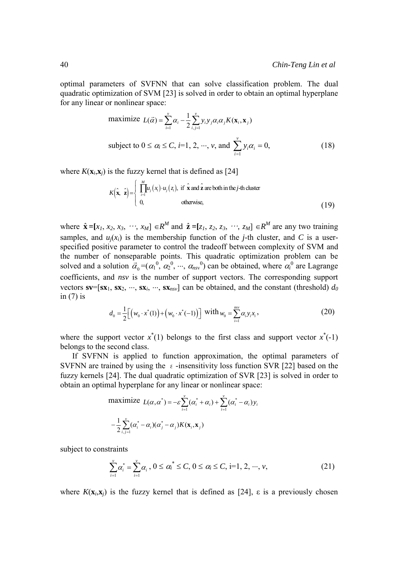optimal parameters of SVFNN that can solve classification problem. The dual quadratic optimization of SVM [23] is solved in order to obtain an optimal hyperplane for any linear or nonlinear space:

maximize 
$$
L(\vec{\alpha}) = \sum_{i=1}^{v} \alpha_i - \frac{1}{2} \sum_{i,j=1}^{v} y_i y_j \alpha_i \alpha_j K(\mathbf{x}_i, \mathbf{x}_j)
$$
  
\nsubject to  $0 \le \alpha_i \le C$ ,  $i=1, 2, \dots, v$ , and  $\sum_{i=1}^{v} y_i \alpha_i = 0$ , (18)

where  $K(\mathbf{x}_i, \mathbf{x}_j)$  is the fuzzy kernel that is defined as [24]

$$
K(\hat{\mathbf{x}}, \hat{\mathbf{z}}) = \begin{cases} \prod_{i=1}^{M} u_j(x_i) \cdot u_j(z_i), & \text{if } \hat{\mathbf{x}} \text{ and } \hat{\mathbf{z}} \text{ are both in the } j \text{-th cluster} \\ 0, & \text{otherwise,} \end{cases}
$$
(19)

where  $\hat{\mathbf{x}} = [x_1, x_2, x_3, \dots, x_M] \in \mathbb{R}^M$  and  $\hat{\mathbf{z}} = [z_1, z_2, z_3, \dots, z_M] \in \mathbb{R}^M$  are any two training samples, and  $u_i(x_i)$  is the membership function of the *j*-th cluster, and *C* is a userspecified positive parameter to control the tradeoff between complexity of SVM and the number of nonseparable points. This quadratic optimization problem can be solved and a solution  $\vec{\alpha}_0 = (\alpha_1^0, \alpha_2^0, \cdots, \alpha_{nsv}^0)$  can be obtained, where  $\alpha_i^0$  are Lagrange coefficients, and *nsv* is the number of support vectors. The corresponding support vectors  $\mathbf{sv}=[\mathbf{s}\mathbf{x}_1,\mathbf{s}\mathbf{x}_2,\cdots,\mathbf{s}\mathbf{x}_i,\cdots,\mathbf{s}\mathbf{x}_{nsv}]$  can be obtained, and the constant (threshold)  $d_0$ in  $(7)$  is

$$
d_0 = \frac{1}{2} \Big[ \big( w_0 \cdot x^*(1) \big) + \big( w_0 \cdot x^*(-1) \big) \Big] \text{ with } w_0 = \sum_{i=1}^{nsv} \alpha_i y_i x_i, \tag{20}
$$

where the support vector  $x^*(1)$  belongs to the first class and support vector  $x^*(-1)$ belongs to the second class.

 If SVFNN is applied to function approximation, the optimal parameters of SVFNN are trained by using the  $\epsilon$ -insensitivity loss function SVR [22] based on the fuzzy kernels [24]. The dual quadratic optimization of SVR [23] is solved in order to obtain an optimal hyperplane for any linear or nonlinear space:

maximize 
$$
L(\alpha, \alpha^*) = -\varepsilon \sum_{i=1}^{\nu} (\alpha_i^* + \alpha_i) + \sum_{i=1}^{\nu} (\alpha_i^* - \alpha_i) y_i
$$
  

$$
-\frac{1}{2} \sum_{i,j=1}^{\nu} (\alpha_i^* - \alpha_i) (\alpha_j^* - \alpha_j) K(\mathbf{x}_i, \mathbf{x}_j)
$$

subject to constraints

$$
\sum_{i=1}^{v} \alpha_i^* = \sum_{i=1}^{v} \alpha_i, \ 0 \le \alpha_i^* \le C, \ 0 \le \alpha_i \le C, \ i=1, 2, \cdots, v,
$$
\n(21)

where  $K(\mathbf{x}_i, \mathbf{x}_j)$  is the fuzzy kernel that is defined as [24],  $\varepsilon$  is a previously chosen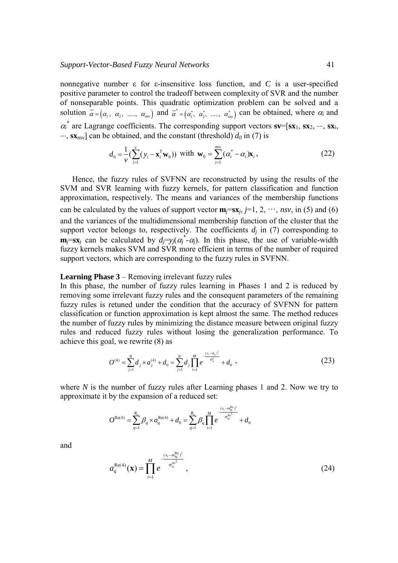nonnegative number ε for ε-insensitive loss function, and *C* is a user-specified positive parameter to control the tradeoff between complexity of SVR and the number of nonseparable points. This quadratic optimization problem can be solved and a solution  $\vec{a} = (\alpha_1, \alpha_2, \ldots, \alpha_{nv})$  and  $\vec{a}^* = (\alpha_1^*, \alpha_2^*, \ldots, \alpha_{nv}^*)$  can be obtained, where  $\alpha_i$  and  $\alpha_i^*$  are Lagrange coefficients. The corresponding support vectors  $\mathbf{sv}=[\mathbf{s}\mathbf{x}_1,\mathbf{s}\mathbf{x}_2,\dots,\mathbf{s}\mathbf{x}_i,$  $\cdots$ ,  $\mathbf{s}$ **x**<sub>*nsv*</sub>] can be obtained, and the constant (threshold)  $d_0$  in (7) is

$$
d_0 = \frac{1}{\nu} \left( \sum_{i=1}^{\nu} (\mathbf{y}_i - \mathbf{x}_i^T \mathbf{w}_0) \right) \text{ with } \mathbf{w}_0 = \sum_{i=1}^{nsv} (\alpha_i^* - \alpha_i) \mathbf{x}_i, \qquad (22)
$$

 Hence, the fuzzy rules of SVFNN are reconstructed by using the results of the SVM and SVR learning with fuzzy kernels, for pattern classification and function approximation, respectively. The means and variances of the membership functions can be calculated by the values of support vector  $\mathbf{m}_i = s\mathbf{x}_i$ ,  $j=1, 2, \dots$ , *nsv*, in (5) and (6) and the variances of the multidimensional membership function of the cluster that the support vector belongs to, respectively. The coefficients  $d_i$  in (7) corresponding to **m**<sub>*j*</sub>=**sx**<sub>*j*</sub> can be calculated by  $d_j = y_j(\alpha_j^* - \alpha_j)$ . In this phase, the use of variable-width fuzzy kernels makes SVM and SVR more efficient in terms of the number of required support vectors, which are corresponding to the fuzzy rules in SVFNN.

#### **Learning Phase 3** – Removing irrelevant fuzzy rules

In this phase, the number of fuzzy rules learning in Phases 1 and 2 is reduced by removing some irrelevant fuzzy rules and the consequent parameters of the remaining fuzzy rules is retuned under the condition that the accuracy of SVFNN for pattern classification or function approximation is kept almost the same. The method reduces the number of fuzzy rules by minimizing the distance measure between original fuzzy rules and reduced fuzzy rules without losing the generalization performance. To achieve this goal, we rewrite (8) as

$$
O^{(4)} = \sum_{j=1}^{N} d_j \times a_j^{(4)} + d_0 = \sum_{j=1}^{N} d_j \prod_{i=1}^{M} e^{-\frac{(x_i - m_{ij})^2}{\sigma_{ij}^2}} + d_0,
$$
 (23)

where *N* is the number of fuzzy rules after Learning phases 1 and 2. Now we try to approximate it by the expansion of a reduced set:

$$
O^{\text{Re}(4)} = \sum_{q=1}^{R_z} \beta_q \times a_q^{\text{Re}(4)} + d_0 = \sum_{q=1}^{R_z} \beta_q \prod_{i=1}^{M} e^{-\frac{(x_i - m_{iq}^{\text{Re}})^2}{\sigma_{iq}^{\text{Re}^2}}} + d_0
$$

and

$$
a_q^{\text{Re}(4)}(\mathbf{x}) = \prod_{i=1}^{M} e^{-\frac{(x_i - m_{iq}^{\text{Re}})^2}{\sigma_{iq}^{\text{Re}^2}}},
$$
\n(24)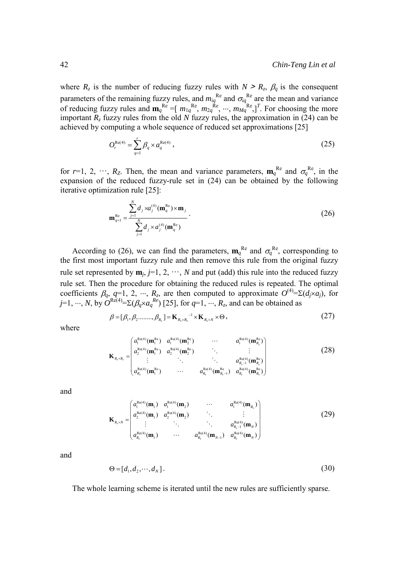where  $R_z$  is the number of reducing fuzzy rules with  $N \ge R_z$ ,  $\beta_q$  is the consequent parameters of the remaining fuzzy rules, and  $m_{iq}^{Re}$  and  $\sigma_{iq}^{Re}$  are the mean and variance of reducing fuzzy rules and  $\mathbf{m}_q^{\text{Re}} = [m_{1q}^{\text{Re}}, m_{2q}^{\text{Re}}, \cdots, m_{Mq}^{\text{Re}}]^T$ . For choosing the more important  $R_z$  fuzzy rules from the old  $N$  fuzzy rules, the approximation in (24) can be achieved by computing a whole sequence of reduced set approximations [25]

$$
O_r^{\text{Re}(4)} = \sum_{q=1}^r \beta_q \times a_q^{\text{Re}(4)}\,,\tag{25}
$$

for  $r=1, 2, \dots, R_z$ . Then, the mean and variance parameters,  $\mathbf{m}_q^{\text{Re}}$  and  $\sigma_q^{\text{Re}}$ , in the expansion of the reduced fuzzy-rule set in (24) can be obtained by the following iterative optimization rule [25]:

$$
\mathbf{m}_{q+1}^{\text{Re}} = \frac{\sum_{j=1}^{N} d_j \times a_j^{(4)}(\mathbf{m}_q^{\text{Re}}) \times \mathbf{m}_j}{\sum_{j=1}^{N} d_j \times a_j^{(4)}(\mathbf{m}_q^{\text{Re}})}.
$$
(26)

According to (26), we can find the parameters,  $\mathbf{m}_q^{\text{Re}}$  and  $\sigma_q^{\text{Re}}$ , corresponding to the first most important fuzzy rule and then remove this rule from the original fuzzy rule set represented by  $\mathbf{m}_i$ ,  $j=1, 2, \dots, N$  and put (add) this rule into the reduced fuzzy rule set. Then the procedure for obtaining the reduced rules is repeated. The optimal coefficients  $\beta_q$ , *q*=1, 2, ...,  $R_z$ , are then computed to approximate  $O^{(4)} = \Sigma(d_j \times a_j)$ , for  $j=1, ..., N$ , by  $\hat{O}^{Re(4)} = \Sigma (\beta_q \times a_q^{Re})$  [25], for  $q=1, ..., R_z$ , and can be obtained as

$$
\beta = [\beta_1, \beta_2 \dots \dots \beta_{R_{\zeta}}] = \mathbf{K}_{R_{\zeta} \times R_{\zeta}}^{-1} \times \mathbf{K}_{R_{\zeta} \times N} \times \Theta,
$$
\n(27)

where

$$
\mathbf{K}_{R_z \times R_z} = \begin{pmatrix} a_1^{\text{Re}(4)}(\mathbf{m}_1^{\text{Re}}) & a_1^{\text{Re}(4)}(\mathbf{m}_2^{\text{Re}}) & \cdots & a_1^{\text{Re}(4)}(\mathbf{m}_{R_z}^{\text{Re}}) \\ a_2^{\text{Re}(4)}(\mathbf{m}_1^{\text{Re}}) & a_2^{\text{Re}(4)}(\mathbf{m}_2^{\text{Re}}) & \vdots & \vdots \\ \vdots & \ddots & \ddots & a_{R_z-1}^{\text{Re}(4)}(\mathbf{m}_{R_z}^{\text{Re}}) \\ a_{R_z}^{\text{Re}(4)}(\mathbf{m}_1^{\text{Re}}) & \cdots & a_{R_z}^{\text{Re}(4)}(\mathbf{m}_{R_z-1}^{\text{Re}}) & a_{R_z}^{\text{Re}(4)}(\mathbf{m}_{R_z}^{\text{Re}}) \end{pmatrix}
$$
(28)

and

$$
\mathbf{K}_{R_z \times N} = \begin{pmatrix} a_1^{\text{Re}(4)}(\mathbf{m}_1) & a_1^{\text{Re}(4)}(\mathbf{m}_2) & \cdots & a_1^{\text{Re}(4)}(\mathbf{m}_{R_z}) \\ a_2^{\text{Re}(4)}(\mathbf{m}_1) & a_2^{\text{Re}(4)}(\mathbf{m}_2) & \vdots & \vdots \\ \vdots & \ddots & \ddots & a_{R_z}^{\text{Re}(4)}(\mathbf{m}_{N_z}) \\ a_{R_z}^{\text{Re}(4)}(\mathbf{m}_1) & \cdots & a_{R_z}^{\text{Re}(4)}(\mathbf{m}_{N_z}) & a_{R_z}^{\text{Re}(4)}(\mathbf{m}_{N_z}) \end{pmatrix}
$$
(29)

and

$$
\Theta = [d_1, d_2, \cdots, d_N]. \tag{30}
$$

The whole learning scheme is iterated until the new rules are sufficiently sparse.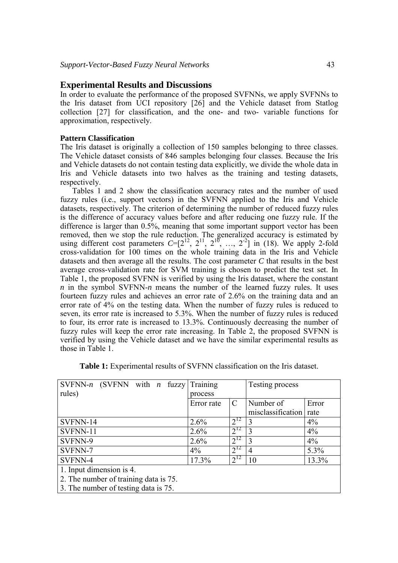### **Experimental Results and Discussions**

In order to evaluate the performance of the proposed SVFNNs, we apply SVFNNs to the Iris dataset from UCI repository [26] and the Vehicle dataset from Statlog collection [27] for classification, and the one- and two- variable functions for approximation, respectively.

### **Pattern Classification**

The Iris dataset is originally a collection of 150 samples belonging to three classes. The Vehicle dataset consists of 846 samples belonging four classes. Because the Iris and Vehicle datasets do not contain testing data explicitly, we divide the whole data in Iris and Vehicle datasets into two halves as the training and testing datasets, respectively.

 Tables 1 and 2 show the classification accuracy rates and the number of used fuzzy rules (i.e., support vectors) in the SVFNN applied to the Iris and Vehicle datasets, respectively. The criterion of determining the number of reduced fuzzy rules is the difference of accuracy values before and after reducing one fuzzy rule. If the difference is larger than 0.5%, meaning that some important support vector has been removed, then we stop the rule reduction. The generalized accuracy is estimated by using different cost parameters  $C=[2^{12}, 2^{11}, 2^{10}, \ldots, 2^{2}]$  in (18). We apply 2-fold cross-validation for 100 times on the whole training data in the Iris and Vehicle datasets and then average all the results. The cost parameter *C* that results in the best average cross-validation rate for SVM training is chosen to predict the test set. In Table 1, the proposed SVFNN is verified by using the Iris dataset, where the constant *n* in the symbol SVFNN-*n* means the number of the learned fuzzy rules. It uses fourteen fuzzy rules and achieves an error rate of 2.6% on the training data and an error rate of 4% on the testing data. When the number of fuzzy rules is reduced to seven, its error rate is increased to 5.3%. When the number of fuzzy rules is reduced to four, its error rate is increased to 13.3%. Continuously decreasing the number of fuzzy rules will keep the error rate increasing. In Table 2, the proposed SVFNN is verified by using the Vehicle dataset and we have the similar experimental results as those in Table 1.

| SVFNN-n (SVFNN with <i>n</i> fuzzy Training |            |               | Testing process   |       |  |
|---------------------------------------------|------------|---------------|-------------------|-------|--|
| rules)                                      | process    |               |                   |       |  |
|                                             | Error rate | $\mathcal{C}$ | Number of         | Error |  |
|                                             |            |               | misclassification | rate  |  |
| SVFNN-14                                    | 2.6%       | $2^{12}$      | 3                 | 4%    |  |
| SVFNN-11                                    | 2.6%       | $2^{12}$      |                   | 4%    |  |
| SVFNN-9                                     | 2.6%       | $2^{12}$      | 3                 | $4\%$ |  |
| SVFNN-7                                     | $4\%$      | $2^{12}$      | 4                 | 5.3%  |  |
| SVFNN-4                                     | 17.3%      | $2^{12}$      | 10                | 13.3% |  |
| 1. Input dimension is 4.                    |            |               |                   |       |  |
| 2. The number of training data is 75.       |            |               |                   |       |  |
| 3. The number of testing data is 75.        |            |               |                   |       |  |

**Table 1:** Experimental results of SVFNN classification on the Iris dataset.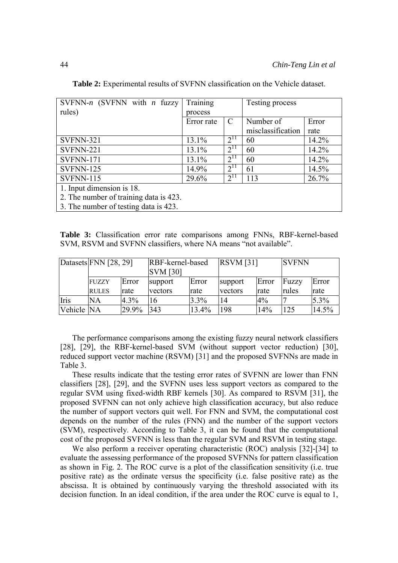| SVFNN-n (SVFNN with $n$ fuzzy          | Training   |               | Testing process   |       |
|----------------------------------------|------------|---------------|-------------------|-------|
| rules)                                 | process    |               |                   |       |
|                                        | Error rate | $\mathcal{C}$ | Number of         | Error |
|                                        |            |               | misclassification | rate  |
| <b>SVFNN-321</b>                       | 13.1%      | $2^{11}$      | 60                | 14.2% |
| SVFNN-221                              | 13.1%      | $2^{11}$      | 60                | 14.2% |
| <b>SVFNN-171</b>                       | 13.1%      | $2^{11}$      | 60                | 14.2% |
| SVFNN-125                              | 14.9%      | $2^{11}$      | 61                | 14.5% |
| <b>SVFNN-115</b>                       | 29.6%      | $2^{11}$      | 113               | 26.7% |
| 1. Input dimension is 18.              |            |               |                   |       |
| 2. The number of training data is 423. |            |               |                   |       |
| 3. The number of testing data is 423.  |            |               |                   |       |

**Table 2:** Experimental results of SVFNN classification on the Vehicle dataset.

**Table 3:** Classification error rate comparisons among FNNs, RBF-kernel-based SVM, RSVM and SVFNN classifiers, where NA means "not available".

|            | Datasets FNN [28, 29]        |               | RBF-kernel-based<br><b>SVM</b> [30] |               | <b>RSVM</b> [31]   |               | <b>SVFNN</b>   |               |
|------------|------------------------------|---------------|-------------------------------------|---------------|--------------------|---------------|----------------|---------------|
|            | <b>FUZZY</b><br><b>RULES</b> | Error<br>rate | support<br>vectors                  | Error<br>rate | support<br>vectors | Error<br>rate | Fuzzy<br>rules | Error<br>rate |
| Iris       | <b>NA</b>                    | 4.3%          | 16                                  | 3.3%          | 14                 | 4%            |                | 5.3%          |
| Vehicle NA |                              | 29.9%         | 343                                 | 13.4%         | 198                | 14%           | 125            | 14.5%         |

 The performance comparisons among the existing fuzzy neural network classifiers [28], [29], the RBF-kernel-based SVM (without support vector reduction) [30], reduced support vector machine (RSVM) [31] and the proposed SVFNNs are made in Table 3.

 These results indicate that the testing error rates of SVFNN are lower than FNN classifiers [28], [29], and the SVFNN uses less support vectors as compared to the regular SVM using fixed-width RBF kernels [30]. As compared to RSVM [31], the proposed SVFNN can not only achieve high classification accuracy, but also reduce the number of support vectors quit well. For FNN and SVM, the computational cost depends on the number of the rules (FNN) and the number of the support vectors (SVM), respectively. According to Table 3, it can be found that the computational cost of the proposed SVFNN is less than the regular SVM and RSVM in testing stage.

 We also perform a receiver operating characteristic (ROC) analysis [32]-[34] to evaluate the assessing performance of the proposed SVFNNs for pattern classification as shown in Fig. 2. The ROC curve is a plot of the classification sensitivity (i.e. true positive rate) as the ordinate versus the specificity (i.e. false positive rate) as the abscissa. It is obtained by continuously varying the threshold associated with its decision function. In an ideal condition, if the area under the ROC curve is equal to 1,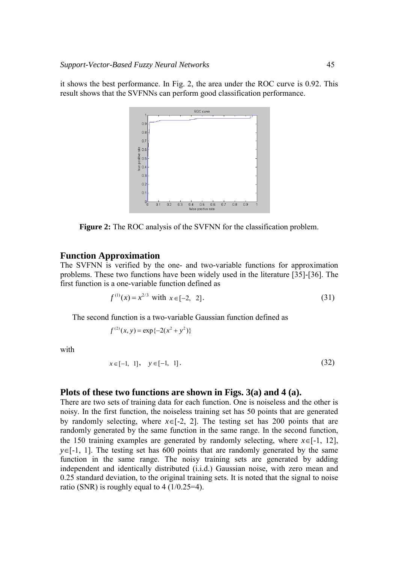it shows the best performance. In Fig. 2, the area under the ROC curve is 0.92. This result shows that the SVFNNs can perform good classification performance.



**Figure 2:** The ROC analysis of the SVFNN for the classification problem.

#### **Function Approximation**

The SVFNN is verified by the one- and two-variable functions for approximation problems. These two functions have been widely used in the literature [35]-[36]. The first function is a one-variable function defined as

$$
f^{(1)}(x) = x^{2/3} \text{ with } x \in [-2, 2]. \tag{31}
$$

The second function is a two-variable Gaussian function defined as

$$
f^{(2)}(x, y) = \exp\{-2(x^2 + y^2)\}\
$$

with

$$
x \in [-1, 1], \quad y \in [-1, 1]. \tag{32}
$$

#### **Plots of these two functions are shown in Figs. 3(a) and 4 (a).**

There are two sets of training data for each function. One is noiseless and the other is noisy. In the first function, the noiseless training set has 50 points that are generated by randomly selecting, where  $x \in [-2, 2]$ . The testing set has 200 points that are randomly generated by the same function in the same range. In the second function, the 150 training examples are generated by randomly selecting, where  $x \in [-1, 12]$ , *y*∈[-1, 1]. The testing set has 600 points that are randomly generated by the same function in the same range. The noisy training sets are generated by adding independent and identically distributed (i.i.d.) Gaussian noise, with zero mean and 0.25 standard deviation, to the original training sets. It is noted that the signal to noise ratio (SNR) is roughly equal to 4 (1/0.25=4).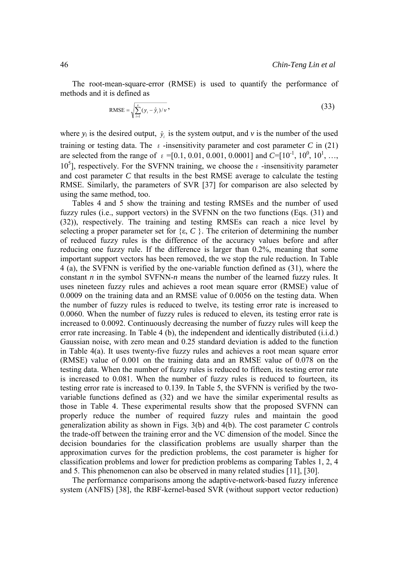The root-mean-square-error (RMSE) is used to quantify the performance of methods and it is defined as

RMSE = 
$$
\sqrt{\sum_{i=1}^{v} (y_i - \hat{y}_i)/v}
$$
, (33)

where  $y_i$  is the desired output,  $\hat{y}_i$  is the system output, and  $v$  is the number of the used training or testing data. The  $\varepsilon$ -insensitivity parameter and cost parameter *C* in (21) are selected from the range of  $\varepsilon = [0.1, 0.01, 0.001, 0.0001]$  and  $C = [10^{-1}, 10^{0}, 10^{1}, \ldots,$  $10<sup>5</sup>$ ], respectively. For the SVFNN training, we choose the ε-insensitivity parameter and cost parameter *C* that results in the best RMSE average to calculate the testing RMSE. Similarly, the parameters of SVR [37] for comparison are also selected by using the same method, too.

 Tables 4 and 5 show the training and testing RMSEs and the number of used fuzzy rules (i.e., support vectors) in the SVFNN on the two functions (Eqs. (31) and (32)), respectively. The training and testing RMSEs can reach a nice level by selecting a proper parameter set for  $\{\varepsilon, C\}$ . The criterion of determining the number of reduced fuzzy rules is the difference of the accuracy values before and after reducing one fuzzy rule. If the difference is larger than 0.2%, meaning that some important support vectors has been removed, the we stop the rule reduction. In Table 4 (a), the SVFNN is verified by the one-variable function defined as (31), where the constant *n* in the symbol SVFNN-*n* means the number of the learned fuzzy rules. It uses nineteen fuzzy rules and achieves a root mean square error (RMSE) value of 0.0009 on the training data and an RMSE value of 0.0056 on the testing data. When the number of fuzzy rules is reduced to twelve, its testing error rate is increased to 0.0060. When the number of fuzzy rules is reduced to eleven, its testing error rate is increased to 0.0092. Continuously decreasing the number of fuzzy rules will keep the error rate increasing. In Table 4 (b), the independent and identically distributed (i.i.d.) Gaussian noise, with zero mean and 0.25 standard deviation is added to the function in Table 4(a). It uses twenty-five fuzzy rules and achieves a root mean square error (RMSE) value of 0.001 on the training data and an RMSE value of 0.078 on the testing data. When the number of fuzzy rules is reduced to fifteen, its testing error rate is increased to 0.081. When the number of fuzzy rules is reduced to fourteen, its testing error rate is increased to 0.139. In Table 5, the SVFNN is verified by the twovariable functions defined as (32) and we have the similar experimental results as those in Table 4. These experimental results show that the proposed SVFNN can properly reduce the number of required fuzzy rules and maintain the good generalization ability as shown in Figs. 3(b) and 4(b). The cost parameter *C* controls the trade-off between the training error and the VC dimension of the model. Since the decision boundaries for the classification problems are usually sharper than the approximation curves for the prediction problems, the cost parameter is higher for classification problems and lower for prediction problems as comparing Tables 1, 2, 4 and 5. This phenomenon can also be observed in many related studies [11], [30].

 The performance comparisons among the adaptive-network-based fuzzy inference system (ANFIS) [38], the RBF-kernel-based SVR (without support vector reduction)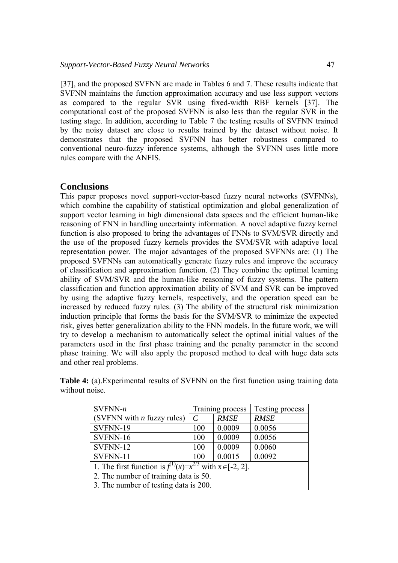[37], and the proposed SVFNN are made in Tables 6 and 7. These results indicate that SVFNN maintains the function approximation accuracy and use less support vectors as compared to the regular SVR using fixed-width RBF kernels [37]. The computational cost of the proposed SVFNN is also less than the regular SVR in the testing stage. In addition, according to Table 7 the testing results of SVFNN trained by the noisy dataset are close to results trained by the dataset without noise. It demonstrates that the proposed SVFNN has better robustness compared to conventional neuro-fuzzy inference systems, although the SVFNN uses little more rules compare with the ANFIS.

# **Conclusions**

This paper proposes novel support-vector-based fuzzy neural networks (SVFNNs), which combine the capability of statistical optimization and global generalization of support vector learning in high dimensional data spaces and the efficient human-like reasoning of FNN in handling uncertainty information. A novel adaptive fuzzy kernel function is also proposed to bring the advantages of FNNs to SVM/SVR directly and the use of the proposed fuzzy kernels provides the SVM/SVR with adaptive local representation power. The major advantages of the proposed SVFNNs are: (1) The proposed SVFNNs can automatically generate fuzzy rules and improve the accuracy of classification and approximation function. (2) They combine the optimal learning ability of SVM/SVR and the human-like reasoning of fuzzy systems. The pattern classification and function approximation ability of SVM and SVR can be improved by using the adaptive fuzzy kernels, respectively, and the operation speed can be increased by reduced fuzzy rules. (3) The ability of the structural risk minimization induction principle that forms the basis for the SVM/SVR to minimize the expected risk, gives better generalization ability to the FNN models. In the future work, we will try to develop a mechanism to automatically select the optimal initial values of the parameters used in the first phase training and the penalty parameter in the second phase training. We will also apply the proposed method to deal with huge data sets and other real problems.

**Table 4:** (a). Experimental results of SVFNN on the first function using training data without noise

| $SVFNN-n$                                                            |               | Training process | Testing process |  |  |  |
|----------------------------------------------------------------------|---------------|------------------|-----------------|--|--|--|
| (SVFNN with <i>n</i> fuzzy rules)                                    | $\mathcal{C}$ | <b>RMSE</b>      | <b>RMSE</b>     |  |  |  |
| SVFNN-19                                                             | 100           | 0.0009           | 0.0056          |  |  |  |
| SVFNN-16                                                             | 100           | 0.0009           | 0.0056          |  |  |  |
| SVFNN-12                                                             | 100           | 0.0009           | 0.0060          |  |  |  |
| SVFNN-11                                                             | 100           | 0.0015           | 0.0092          |  |  |  |
| 1. The first function is $f^{(1)}(x)=x^{2/3}$ with $x \in [-2, 2]$ . |               |                  |                 |  |  |  |
| 2. The number of training data is 50.                                |               |                  |                 |  |  |  |
| 3. The number of testing data is 200.                                |               |                  |                 |  |  |  |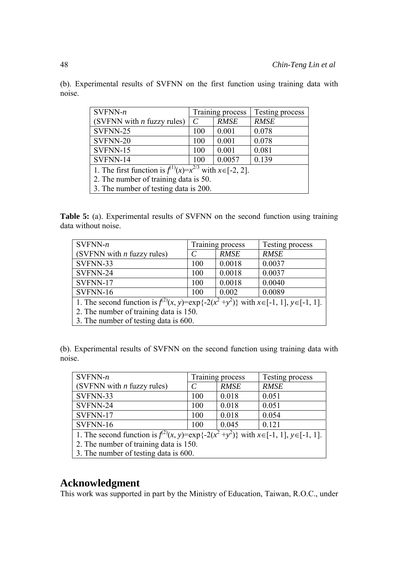(b). Experimental results of SVFNN on the first function using training data with noise.

| $SVFNN-n$                                                            |               | Training process | Testing process |  |  |  |
|----------------------------------------------------------------------|---------------|------------------|-----------------|--|--|--|
| (SVFNN with $n$ fuzzy rules)                                         | $\mathcal{C}$ | <b>RMSE</b>      | <b>RMSE</b>     |  |  |  |
| SVFNN-25                                                             | 100           | 0.001            | 0.078           |  |  |  |
| SVFNN-20                                                             | 100           | 0.001            | 0.078           |  |  |  |
| SVFNN-15                                                             | 100           | 0.001            | 0.081           |  |  |  |
| SVFNN-14                                                             | 100           | 0.0057           | 0.139           |  |  |  |
| 1. The first function is $f^{(1)}(x)=x^{2/3}$ with $x \in [-2, 2]$ . |               |                  |                 |  |  |  |
| 2. The number of training data is 50.                                |               |                  |                 |  |  |  |
| 3. The number of testing data is 200.                                |               |                  |                 |  |  |  |

**Table 5:** (a). Experimental results of SVFNN on the second function using training data without noise.

| $SVFNN-n$                                                                                               |     | Training process | Testing process |  |  |  |  |
|---------------------------------------------------------------------------------------------------------|-----|------------------|-----------------|--|--|--|--|
| (SVFNN with $n$ fuzzy rules)                                                                            |     | <b>RMSE</b>      | <b>RMSE</b>     |  |  |  |  |
| SVFNN-33                                                                                                | 100 | 0.0018           | 0.0037          |  |  |  |  |
| SVFNN-24                                                                                                | 100 | 0.0018           | 0.0037          |  |  |  |  |
| SVFNN-17                                                                                                | 100 | 0.0018           | 0.0040          |  |  |  |  |
| SVFNN-16                                                                                                | 100 | 0.002            | 0.0089          |  |  |  |  |
| 1. The second function is $f^{(2)}(x, y) = \exp\{-2(x^2 + y^2)\}\$ with $x \in [-1, 1], y \in [-1, 1].$ |     |                  |                 |  |  |  |  |
| 2. The number of training data is 150.                                                                  |     |                  |                 |  |  |  |  |
| 3. The number of testing data is 600.                                                                   |     |                  |                 |  |  |  |  |

(b). Experimental results of SVFNN on the second function using training data with noise.

| $SVFNN-n$                                                                                               |     | Training process | Testing process |  |  |  |  |
|---------------------------------------------------------------------------------------------------------|-----|------------------|-----------------|--|--|--|--|
| (SVFNN with $n$ fuzzy rules)                                                                            |     | <b>RMSE</b>      | <b>RMSE</b>     |  |  |  |  |
| SVFNN-33                                                                                                | 100 | 0.018            | 0.051           |  |  |  |  |
| SVFNN-24                                                                                                | 100 | 0.018            | 0.051           |  |  |  |  |
| SVFNN-17                                                                                                | 100 | 0.018            | 0.054           |  |  |  |  |
| SVFNN-16                                                                                                | 100 | 0.045            | 0.121           |  |  |  |  |
| 1. The second function is $f^{(2)}(x, y) = \exp\{-2(x^2 + y^2)\}\$ with $x \in [-1, 1], y \in [-1, 1].$ |     |                  |                 |  |  |  |  |
| 2. The number of training data is 150.                                                                  |     |                  |                 |  |  |  |  |
| 3. The number of testing data is 600.                                                                   |     |                  |                 |  |  |  |  |

# **Acknowledgment**

This work was supported in part by the Ministry of Education, Taiwan, R.O.C., under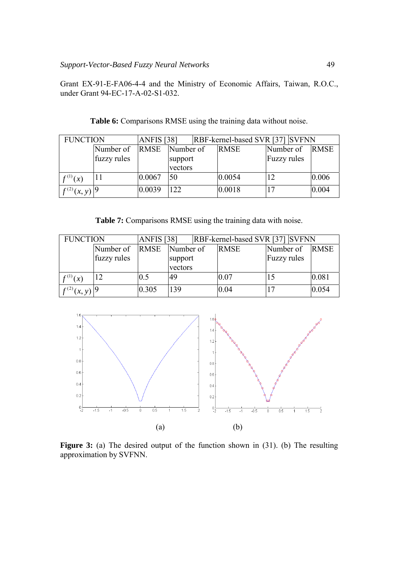Grant EX-91-E-FA06-4-4 and the Ministry of Economic Affairs, Taiwan, R.O.C., under Grant 94-EC-17-A-02-S1-032.

| <b>FUNCTION</b>              |             | <b>ANFIS</b> [38] |           | <b>RBF-kernel-based SVR [37] SVFNN</b> |             |             |             |
|------------------------------|-------------|-------------------|-----------|----------------------------------------|-------------|-------------|-------------|
|                              | Number of   | <b>RMSE</b>       | Number of |                                        | <b>RMSE</b> | Number of   | <b>RMSE</b> |
|                              | fuzzy rules |                   | support   |                                        |             | Fuzzy rules |             |
|                              |             |                   | vectors   |                                        |             |             |             |
| $f^{(1)}(x)$                 |             | 0.0067            | 50        |                                        | 0.0054      |             | 0.006       |
| $f^{(2)}(x, y)$ <sup>9</sup> |             | 0.0039            | 122       |                                        | 0.0018      |             | 0.004       |

**Table 6:** Comparisons RMSE using the training data without noise.

|  | <b>Table 7:</b> Comparisons RMSE using the training data with noise. |  |  |  |  |
|--|----------------------------------------------------------------------|--|--|--|--|
|  |                                                                      |  |  |  |  |

| <b>FUNCTION</b>              |             | <b>ANFIS</b> [38] |           | RBF-kernel-based SVR [37] SVFNN |             |                    |  |             |
|------------------------------|-------------|-------------------|-----------|---------------------------------|-------------|--------------------|--|-------------|
|                              | Number of   | <b>RMSE</b>       | Number of |                                 | <b>RMSE</b> | Number of          |  | <b>RMSE</b> |
|                              | fuzzy rules |                   | support   |                                 |             | <b>Fuzzy</b> rules |  |             |
|                              |             |                   | vectors   |                                 |             |                    |  |             |
| $f^{(1)}(x)$                 |             | 0.5               | 49        |                                 | 0.07        |                    |  | 0.081       |
| $f^{(2)}(x, y)$ <sup>9</sup> |             | 0.305             | 139       |                                 | 0.04        |                    |  | 0.054       |



Figure 3: (a) The desired output of the function shown in (31). (b) The resulting approximation by SVFNN.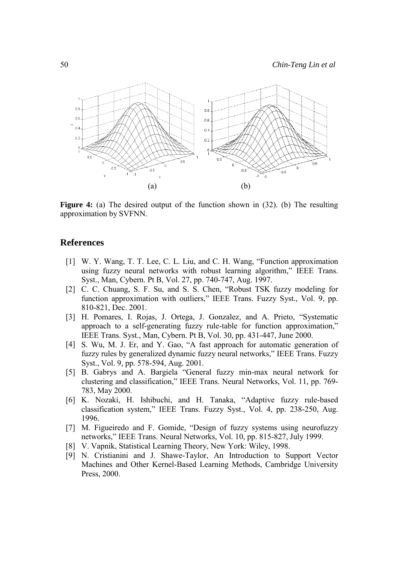

**Figure 4:** (a) The desired output of the function shown in (32). (b) The resulting approximation by SVFNN.

## **References**

- [1] W. Y. Wang, T. T. Lee, C. L. Liu, and C. H. Wang, "Function approximation using fuzzy neural networks with robust learning algorithm," IEEE Trans. Syst., Man, Cybern. Pt B, Vol. 27, pp. 740-747, Aug. 1997.
- [2] C. C. Chuang, S. F. Su, and S. S. Chen, "Robust TSK fuzzy modeling for function approximation with outliers," IEEE Trans. Fuzzy Syst., Vol. 9, pp. 810-821, Dec. 2001.
- [3] H. Pomares, I. Rojas, J. Ortega, J. Gonzalez, and A. Prieto, "Systematic approach to a self-generating fuzzy rule-table for function approximation," IEEE Trans. Syst., Man, Cybern. Pt B, Vol. 30, pp. 431-447, June 2000.
- [4] S. Wu, M. J. Er, and Y. Gao, "A fast approach for automatic generation of fuzzy rules by generalized dynamic fuzzy neural networks," IEEE Trans. Fuzzy Syst., Vol. 9, pp. 578-594, Aug. 2001.
- [5] B. Gabrys and A. Bargiela "General fuzzy min-max neural network for clustering and classification," IEEE Trans. Neural Networks, Vol. 11, pp. 769- 783, May 2000.
- [6] K. Nozaki, H. Ishibuchi, and H. Tanaka, "Adaptive fuzzy rule-based classification system," IEEE Trans. Fuzzy Syst., Vol. 4, pp. 238-250, Aug. 1996.
- [7] M. Figueiredo and F. Gomide, "Design of fuzzy systems using neurofuzzy networks," IEEE Trans. Neural Networks, Vol. 10, pp. 815-827, July 1999.
- [8] V. Vapnik, Statistical Learning Theory, New York: Wiley, 1998.
- [9] N. Cristianini and J. Shawe-Taylor, An Introduction to Support Vector Machines and Other Kernel-Based Learning Methods, Cambridge University Press, 2000.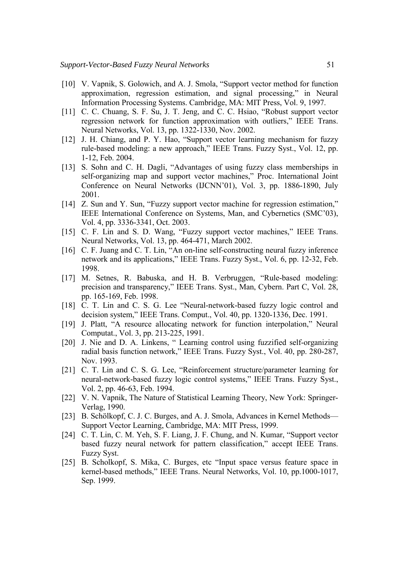- [10] V. Vapnik, S. Golowich, and A. J. Smola, "Support vector method for function approximation, regression estimation, and signal processing," in Neural Information Processing Systems. Cambridge, MA: MIT Press, Vol. 9, 1997.
- [11] C. C. Chuang, S. F. Su, J. T. Jeng, and C. C. Hsiao, "Robust support vector regression network for function approximation with outliers," IEEE Trans. Neural Networks, Vol. 13, pp. 1322-1330, Nov. 2002.
- [12] J. H. Chiang, and P. Y. Hao, "Support vector learning mechanism for fuzzy rule-based modeling: a new approach," IEEE Trans. Fuzzy Syst., Vol. 12, pp. 1-12, Feb. 2004.
- [13] S. Sohn and C. H. Dagli, "Advantages of using fuzzy class memberships in self-organizing map and support vector machines," Proc. International Joint Conference on Neural Networks (IJCNN'01), Vol. 3, pp. 1886-1890, July 2001.
- [14] Z. Sun and Y. Sun, "Fuzzy support vector machine for regression estimation," IEEE International Conference on Systems, Man, and Cybernetics (SMC'03), Vol. 4, pp. 3336-3341, Oct. 2003.
- [15] C. F. Lin and S. D. Wang, "Fuzzy support vector machines," IEEE Trans. Neural Networks, Vol. 13, pp. 464-471, March 2002.
- [16] C. F. Juang and C. T. Lin, "An on-line self-constructing neural fuzzy inference network and its applications," IEEE Trans. Fuzzy Syst., Vol. 6, pp. 12-32, Feb. 1998.
- [17] M. Setnes, R. Babuska, and H. B. Verbruggen, "Rule-based modeling: precision and transparency," IEEE Trans. Syst., Man, Cybern. Part C, Vol. 28, pp. 165-169, Feb. 1998.
- [18] C. T. Lin and C. S. G. Lee "Neural-network-based fuzzy logic control and decision system," IEEE Trans. Comput., Vol. 40, pp. 1320-1336, Dec. 1991.
- [19] J. Platt, "A resource allocating network for function interpolation," Neural Computat., Vol. 3, pp. 213-225, 1991.
- [20] J. Nie and D. A. Linkens, " Learning control using fuzzified self-organizing radial basis function network," IEEE Trans. Fuzzy Syst., Vol. 40, pp. 280-287, Nov. 1993.
- [21] C. T. Lin and C. S. G. Lee, "Reinforcement structure/parameter learning for neural-network-based fuzzy logic control systems," IEEE Trans. Fuzzy Syst., Vol. 2, pp. 46-63, Feb. 1994.
- [22] V. N. Vapnik, The Nature of Statistical Learning Theory, New York: Springer-Verlag, 1990.
- [23] B. Schölkopf, C. J. C. Burges, and A. J. Smola, Advances in Kernel Methods— Support Vector Learning, Cambridge, MA: MIT Press, 1999.
- [24] C. T. Lin, C. M. Yeh, S. F. Liang, J. F. Chung, and N. Kumar, "Support vector based fuzzy neural network for pattern classification," accept IEEE Trans. Fuzzy Syst.
- [25] B. Scholkopf, S. Mika, C. Burges, etc "Input space versus feature space in kernel-based methods," IEEE Trans. Neural Networks, Vol. 10, pp.1000-1017, Sep. 1999.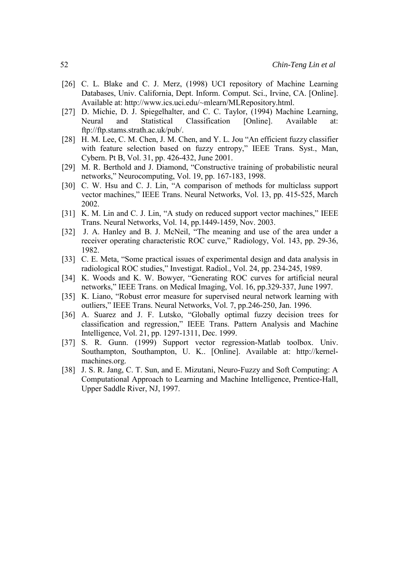- [26] C. L. Blake and C. J. Merz, (1998) UCI repository of Machine Learning Databases, Univ. California, Dept. Inform. Comput. Sci., Irvine, CA. [Online]. Available at: http://www.ics.uci.edu/~mlearn/MLRepository.html.
- [27] D. Michie, D. J. Spiegelhalter, and C. C. Taylor, (1994) Machine Learning, Neural and Statistical Classification [Online]. Available at: ftp://ftp.stams.strath.ac.uk/pub/.
- [28] H. M. Lee, C. M. Chen, J. M. Chen, and Y. L. Jou "An efficient fuzzy classifier with feature selection based on fuzzy entropy," IEEE Trans. Syst., Man, Cybern. Pt B, Vol. 31, pp. 426-432, June 2001.
- [29] M. R. Berthold and J. Diamond, "Constructive training of probabilistic neural networks," Neurocomputing, Vol. 19, pp. 167-183, 1998.
- [30] C. W. Hsu and C. J. Lin, "A comparison of methods for multiclass support vector machines," IEEE Trans. Neural Networks, Vol. 13, pp. 415-525, March 2002.
- [31] K. M. Lin and C. J. Lin, "A study on reduced support vector machines," IEEE Trans. Neural Networks, Vol. 14, pp.1449-1459, Nov. 2003.
- [32] J. A. Hanley and B. J. McNeil, "The meaning and use of the area under a receiver operating characteristic ROC curve," Radiology, Vol. 143, pp. 29-36, 1982.
- [33] C. E. Meta, "Some practical issues of experimental design and data analysis in radiological ROC studies," Investigat. Radiol., Vol. 24, pp. 234-245, 1989.
- [34] K. Woods and K. W. Bowyer, "Generating ROC curves for artificial neural networks," IEEE Trans. on Medical Imaging, Vol. 16, pp.329-337, June 1997.
- [35] K. Liano, "Robust error measure for supervised neural network learning with outliers," IEEE Trans. Neural Networks, Vol. 7, pp.246-250, Jan. 1996.
- [36] A. Suarez and J. F. Lutsko, "Globally optimal fuzzy decision trees for classification and regression," IEEE Trans. Pattern Analysis and Machine Intelligence, Vol. 21, pp. 1297-1311, Dec. 1999.
- [37] S. R. Gunn. (1999) Support vector regression-Matlab toolbox. Univ. Southampton, Southampton, U. K.. [Online]. Available at: http://kernelmachines.org.
- [38] J. S. R. Jang, C. T. Sun, and E. Mizutani, Neuro-Fuzzy and Soft Computing: A Computational Approach to Learning and Machine Intelligence, Prentice-Hall, Upper Saddle River, NJ, 1997.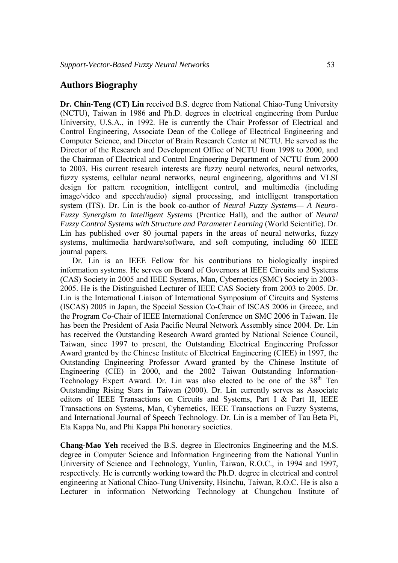# **Authors Biography**

**Dr. Chin-Teng (CT) Lin** received B.S. degree from National Chiao-Tung University (NCTU), Taiwan in 1986 and Ph.D. degrees in electrical engineering from Purdue University, U.S.A., in 1992. He is currently the Chair Professor of Electrical and Control Engineering, Associate Dean of the College of Electrical Engineering and Computer Science, and Director of Brain Research Center at NCTU. He served as the Director of the Research and Development Office of NCTU from 1998 to 2000, and the Chairman of Electrical and Control Engineering Department of NCTU from 2000 to 2003. His current research interests are fuzzy neural networks, neural networks, fuzzy systems, cellular neural networks, neural engineering, algorithms and VLSI design for pattern recognition, intelligent control, and multimedia (including image/video and speech/audio) signal processing, and intelligent transportation system (ITS). Dr. Lin is the book co-author of *Neural Fuzzy Systems— A Neuro-Fuzzy Synergism to Intelligent Systems* (Prentice Hall), and the author of *Neural Fuzzy Control Systems with Structure and Parameter Learning* (World Scientific). Dr. Lin has published over 80 journal papers in the areas of neural networks, fuzzy systems, multimedia hardware/software, and soft computing, including 60 IEEE journal papers.

 Dr. Lin is an IEEE Fellow for his contributions to biologically inspired information systems. He serves on Board of Governors at IEEE Circuits and Systems (CAS) Society in 2005 and IEEE Systems, Man, Cybernetics (SMC) Society in 2003- 2005. He is the Distinguished Lecturer of IEEE CAS Society from 2003 to 2005. Dr. Lin is the International Liaison of International Symposium of Circuits and Systems (ISCAS) 2005 in Japan, the Special Session Co-Chair of ISCAS 2006 in Greece, and the Program Co-Chair of IEEE International Conference on SMC 2006 in Taiwan. He has been the President of Asia Pacific Neural Network Assembly since 2004. Dr. Lin has received the Outstanding Research Award granted by National Science Council, Taiwan, since 1997 to present, the Outstanding Electrical Engineering Professor Award granted by the Chinese Institute of Electrical Engineering (CIEE) in 1997, the Outstanding Engineering Professor Award granted by the Chinese Institute of Engineering (CIE) in 2000, and the 2002 Taiwan Outstanding Information-Technology Expert Award. Dr. Lin was also elected to be one of the  $38<sup>th</sup>$  Ten Outstanding Rising Stars in Taiwan (2000). Dr. Lin currently serves as Associate editors of IEEE Transactions on Circuits and Systems, Part I & Part II, IEEE Transactions on Systems, Man, Cybernetics, IEEE Transactions on Fuzzy Systems, and International Journal of Speech Technology. Dr. Lin is a member of Tau Beta Pi, Eta Kappa Nu, and Phi Kappa Phi honorary societies.

**Chang-Mao Yeh** received the B.S. degree in Electronics Engineering and the M.S. degree in Computer Science and Information Engineering from the National Yunlin University of Science and Technology, Yunlin, Taiwan, R.O.C., in 1994 and 1997, respectively. He is currently working toward the Ph.D. degree in electrical and control engineering at National Chiao-Tung University, Hsinchu, Taiwan, R.O.C. He is also a Lecturer in information Networking Technology at Chungchou Institute of